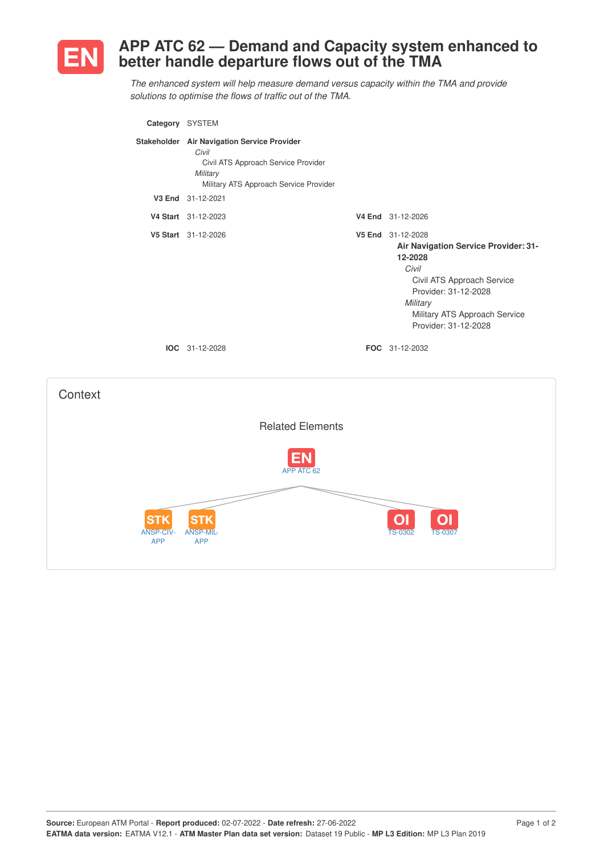

## **APP ATC 62 — Demand and Capacity system enhanced to better handle departure flows out of the TMA**

*The enhanced system will help measure demand versus capacity within the TMA and provide solutions to optimise the flows of traffic out of the TMA.*

|                                              | Category SYSTEM                                                                                                                                   |                                                                                                                                                                                                          |
|----------------------------------------------|---------------------------------------------------------------------------------------------------------------------------------------------------|----------------------------------------------------------------------------------------------------------------------------------------------------------------------------------------------------------|
|                                              | Stakeholder Air Navigation Service Provider<br>Civil<br>Civil ATS Approach Service Provider<br>Military<br>Military ATS Approach Service Provider |                                                                                                                                                                                                          |
|                                              | V3 End 31-12-2021                                                                                                                                 |                                                                                                                                                                                                          |
|                                              | V4 Start 31-12-2023                                                                                                                               | V4 End 31-12-2026                                                                                                                                                                                        |
|                                              | V5 Start 31-12-2026                                                                                                                               | V5 End 31-12-2028<br>Air Navigation Service Provider: 31-<br>12-2028<br>Civil<br>Civil ATS Approach Service<br>Provider: 31-12-2028<br>Military<br>Military ATS Approach Service<br>Provider: 31-12-2028 |
|                                              | IOC 31-12-2028                                                                                                                                    | FOC 31-12-2032                                                                                                                                                                                           |
| Context                                      |                                                                                                                                                   |                                                                                                                                                                                                          |
|                                              | <b>Related Elements</b>                                                                                                                           |                                                                                                                                                                                                          |
|                                              | APP ATC 62                                                                                                                                        |                                                                                                                                                                                                          |
| <b>STK</b><br><b>ANSP-CIV-</b><br><b>APP</b> | <b>STK</b><br><b>ANSP-MIL</b><br><b>APP</b>                                                                                                       | <b>TS-0302</b><br><b>TS-0307</b>                                                                                                                                                                         |